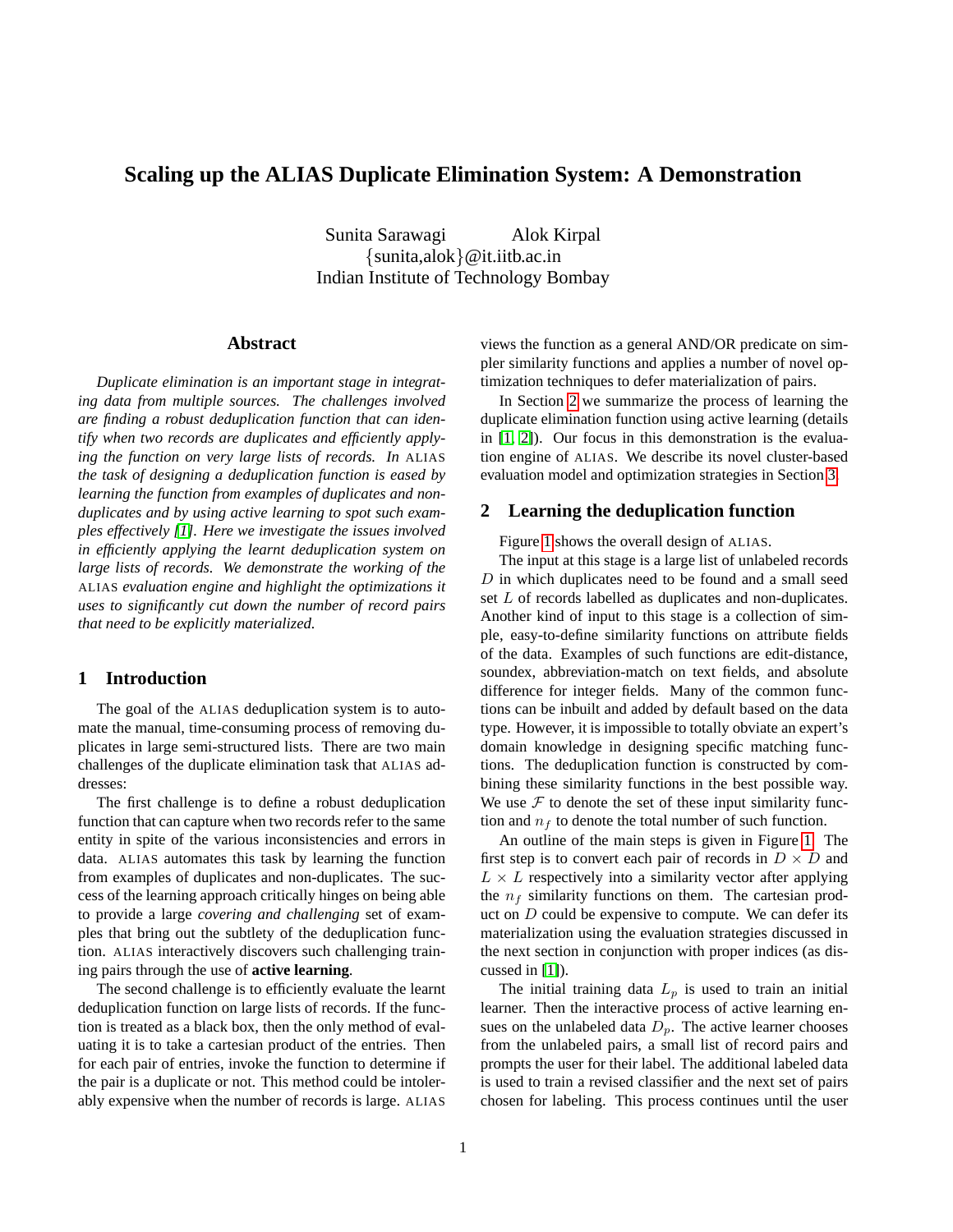# **Scaling up the ALIAS Duplicate Elimination System: A Demonstration**

Sunita Sarawagi Alok Kirpal {sunita,alok}@it.iitb.ac.in Indian Institute of Technology Bombay

### **Abstract**

*Duplicate elimination is an important stage in integrating data from multiple sources. The challenges involved are finding a robust deduplication function that can identify when two records are duplicates and efficiently applying the function on very large lists of records. In* ALIAS *the task of designing a deduplication function is eased by learning the function from examples of duplicates and nonduplicates and by using active learning to spot such examples effectively [\[1\]](#page-2-0). Here we investigate the issues involved in efficiently applying the learnt deduplication system on large lists of records. We demonstrate the working of the* ALIAS *evaluation engine and highlight the optimizations it uses to significantly cut down the number of record pairs that need to be explicitly materialized.*

### **1 Introduction**

The goal of the ALIAS deduplication system is to automate the manual, time-consuming process of removing duplicates in large semi-structured lists. There are two main challenges of the duplicate elimination task that ALIAS addresses:

The first challenge is to define a robust deduplication function that can capture when two records refer to the same entity in spite of the various inconsistencies and errors in data. ALIAS automates this task by learning the function from examples of duplicates and non-duplicates. The success of the learning approach critically hinges on being able to provide a large *covering and challenging* set of examples that bring out the subtlety of the deduplication function. ALIAS interactively discovers such challenging training pairs through the use of **active learning**.

The second challenge is to efficiently evaluate the learnt deduplication function on large lists of records. If the function is treated as a black box, then the only method of evaluating it is to take a cartesian product of the entries. Then for each pair of entries, invoke the function to determine if the pair is a duplicate or not. This method could be intolerably expensive when the number of records is large. ALIAS

views the function as a general AND/OR predicate on simpler similarity functions and applies a number of novel optimization techniques to defer materialization of pairs.

In Section [2](#page-0-0) we summarize the process of learning the duplicate elimination function using active learning (details in [\[1,](#page-2-0) [2\]](#page-2-1)). Our focus in this demonstration is the evaluation engine of ALIAS. We describe its novel cluster-based evaluation model and optimization strategies in Section [3.](#page-1-0)

#### <span id="page-0-0"></span>**2 Learning the deduplication function**

Figure [1](#page-1-1) shows the overall design of ALIAS.

The input at this stage is a large list of unlabeled records  $D$  in which duplicates need to be found and a small seed set L of records labelled as duplicates and non-duplicates. Another kind of input to this stage is a collection of simple, easy-to-define similarity functions on attribute fields of the data. Examples of such functions are edit-distance, soundex, abbreviation-match on text fields, and absolute difference for integer fields. Many of the common functions can be inbuilt and added by default based on the data type. However, it is impossible to totally obviate an expert's domain knowledge in designing specific matching functions. The deduplication function is constructed by combining these similarity functions in the best possible way. We use  $F$  to denote the set of these input similarity function and  $n_f$  to denote the total number of such function.

An outline of the main steps is given in Figure [1.](#page-1-1) The first step is to convert each pair of records in  $D \times D$  and  $L \times L$  respectively into a similarity vector after applying the  $n_f$  similarity functions on them. The cartesian product on  $D$  could be expensive to compute. We can defer its materialization using the evaluation strategies discussed in the next section in conjunction with proper indices (as discussed in [\[1\]](#page-2-0)).

The initial training data  $L_p$  is used to train an initial learner. Then the interactive process of active learning ensues on the unlabeled data  $D_p$ . The active learner chooses from the unlabeled pairs, a small list of record pairs and prompts the user for their label. The additional labeled data is used to train a revised classifier and the next set of pairs chosen for labeling. This process continues until the user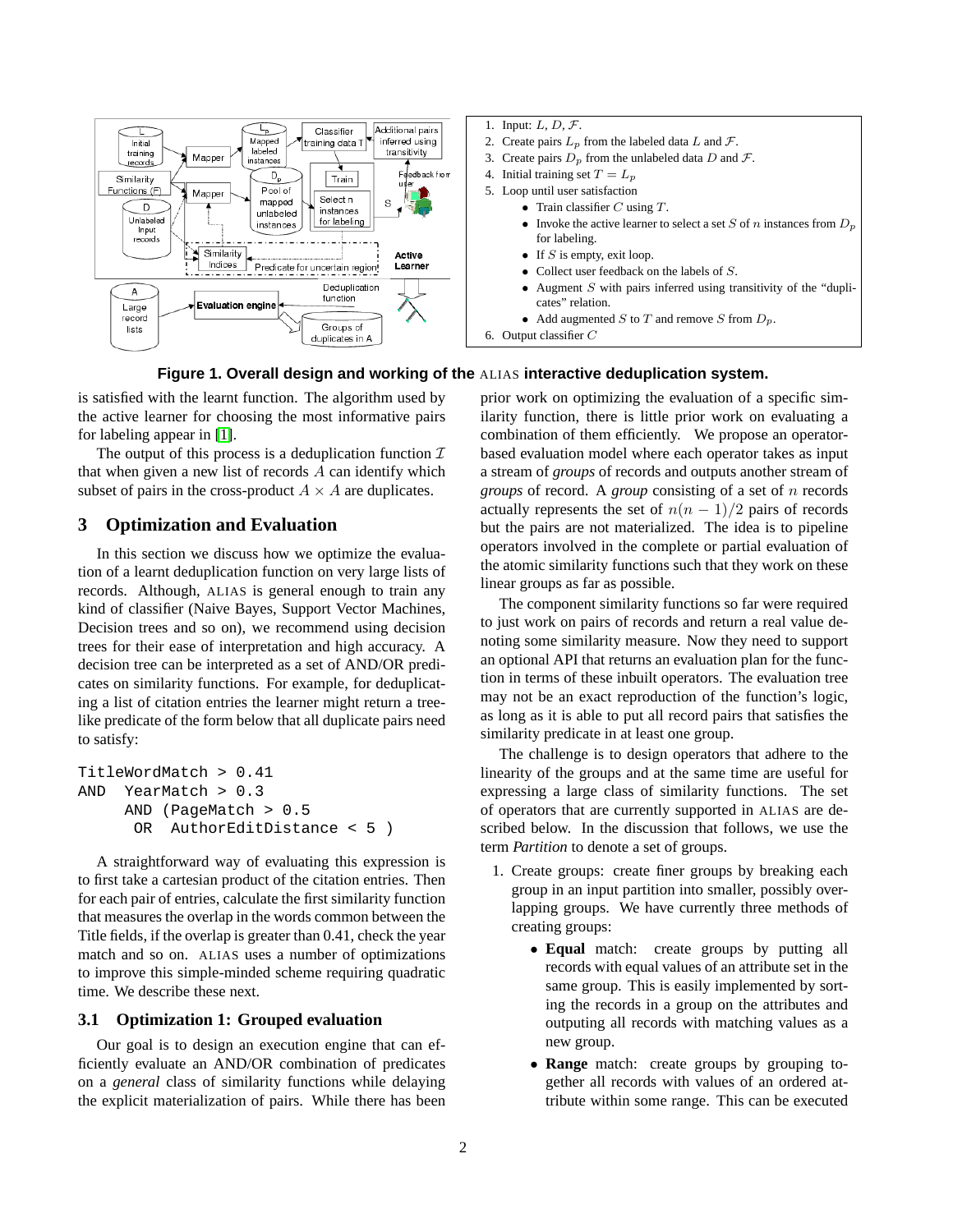

<span id="page-1-1"></span>

is satisfied with the learnt function. The algorithm used by the active learner for choosing the most informative pairs for labeling appear in [\[1\]](#page-2-0).

The output of this process is a deduplication function  $\mathcal I$ that when given a new list of records A can identify which subset of pairs in the cross-product  $A \times A$  are duplicates.

## <span id="page-1-0"></span>**3 Optimization and Evaluation**

In this section we discuss how we optimize the evaluation of a learnt deduplication function on very large lists of records. Although, ALIAS is general enough to train any kind of classifier (Naive Bayes, Support Vector Machines, Decision trees and so on), we recommend using decision trees for their ease of interpretation and high accuracy. A decision tree can be interpreted as a set of AND/OR predicates on similarity functions. For example, for deduplicating a list of citation entries the learner might return a treelike predicate of the form below that all duplicate pairs need to satisfy:

```
TitleWordMatch > 0.41
AND YearMatch > 0.3
     AND (PageMatch > 0.5
      OR AuthorEditDistance < 5 )
```
A straightforward way of evaluating this expression is to first take a cartesian product of the citation entries. Then for each pair of entries, calculate the first similarity function that measures the overlap in the words common between the Title fields, if the overlap is greater than 0.41, check the year match and so on. ALIAS uses a number of optimizations to improve this simple-minded scheme requiring quadratic time. We describe these next.

#### **3.1 Optimization 1: Grouped evaluation**

Our goal is to design an execution engine that can efficiently evaluate an AND/OR combination of predicates on a *general* class of similarity functions while delaying the explicit materialization of pairs. While there has been

prior work on optimizing the evaluation of a specific similarity function, there is little prior work on evaluating a combination of them efficiently. We propose an operatorbased evaluation model where each operator takes as input a stream of *groups* of records and outputs another stream of *groups* of record. A *group* consisting of a set of n records actually represents the set of  $n(n - 1)/2$  pairs of records but the pairs are not materialized. The idea is to pipeline operators involved in the complete or partial evaluation of the atomic similarity functions such that they work on these linear groups as far as possible.

The component similarity functions so far were required to just work on pairs of records and return a real value denoting some similarity measure. Now they need to support an optional API that returns an evaluation plan for the function in terms of these inbuilt operators. The evaluation tree may not be an exact reproduction of the function's logic, as long as it is able to put all record pairs that satisfies the similarity predicate in at least one group.

The challenge is to design operators that adhere to the linearity of the groups and at the same time are useful for expressing a large class of similarity functions. The set of operators that are currently supported in ALIAS are described below. In the discussion that follows, we use the term *Partition* to denote a set of groups.

- 1. Create groups: create finer groups by breaking each group in an input partition into smaller, possibly overlapping groups. We have currently three methods of creating groups:
	- **Equal** match: create groups by putting all records with equal values of an attribute set in the same group. This is easily implemented by sorting the records in a group on the attributes and outputing all records with matching values as a new group.
	- **Range** match: create groups by grouping together all records with values of an ordered attribute within some range. This can be executed